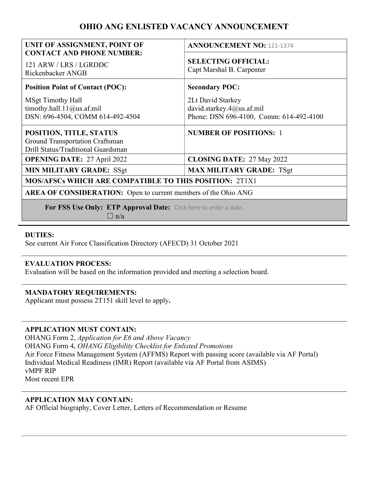# OHIO ANG ENLISTED VACANCY ANNOUNCEMENT

| UNIT OF ASSIGNMENT, POINT OF<br><b>CONTACT AND PHONE NUMBER:</b>                                 | <b>ANNOUNCEMENT NO: 121-1374</b>                                                          |
|--------------------------------------------------------------------------------------------------|-------------------------------------------------------------------------------------------|
| 121 ARW / LRS / LGRDDC<br>Rickenbacker ANGB                                                      | <b>SELECTING OFFICIAL:</b><br>Capt Marshal B. Carpenter                                   |
| <b>Position Point of Contact (POC):</b>                                                          | <b>Secondary POC:</b>                                                                     |
| <b>MSgt Timothy Hall</b><br>timothy.hall.11@us.af.mil<br>DSN: 696-4504, COMM 614-492-4504        | 2Lt David Starkey<br>david.starkey.4@us.af.mil<br>Phone: DSN 696-4100, Comm: 614-492-4100 |
| POSITION, TITLE, STATUS<br>Ground Transportation Craftsman<br>Drill Status/Traditional Guardsman | <b>NUMBER OF POSITIONS: 1</b>                                                             |
| <b>OPENING DATE: 27 April 2022</b>                                                               | <b>CLOSING DATE: 27 May 2022</b>                                                          |
| <b>MIN MILITARY GRADE: SSgt</b>                                                                  | <b>MAX MILITARY GRADE: TSgt</b>                                                           |
| <b>MOS/AFSCs WHICH ARE COMPATIBLE TO THIS POSITION: 2T1X1</b>                                    |                                                                                           |
| <b>AREA OF CONSIDERATION:</b> Open to current members of the Ohio ANG                            |                                                                                           |
| For FSS Use Only: ETP Approval Date: Click here to enter a date.<br>$\ln/a$                      |                                                                                           |

### DUTIES:

See current Air Force Classification Directory (AFECD) 31 October 2021

#### EVALUATION PROCESS:

Evaluation will be based on the information provided and meeting a selection board.

#### MANDATORY REQUIREMENTS:

Applicant must possess 2T151 skill level to apply**.**

#### APPLICATION MUST CONTAIN:

OHANG Form 2, Application for E6 and Above Vacancy OHANG Form 4, OHANG Eligibility Checklist for Enlisted Promotions Air Force Fitness Management System (AFFMS) Report with passing score (available via AF Portal) Individual Medical Readiness (IMR) Report (available via AF Portal from ASIMS) vMPF RIP Most recent EPR

#### APPLICATION MAY CONTAIN:

AF Official biography, Cover Letter, Letters of Recommendation or Resume